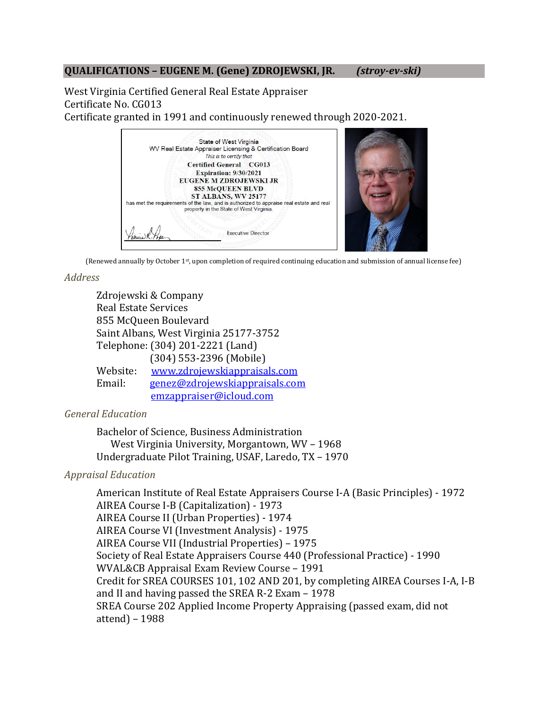# **QUALIFICATIONS – EUGENE M. (Gene) ZDROJEWSKI, JR.** *(stroy-ev-ski)*

West Virginia Certified General Real Estate Appraiser Certificate No. CG013 Certificate granted in 1991 and continuously renewed through 2020-2021.



(Renewed annually by October 1st, upon completion of required continuing education and submission of annual license fee)

# *Address*

| Zdrojewski & Company                   |                                |
|----------------------------------------|--------------------------------|
| <b>Real Estate Services</b>            |                                |
| 855 McQueen Boulevard                  |                                |
| Saint Albans, West Virginia 25177-3752 |                                |
| Telephone: (304) 201-2221 (Land)       |                                |
|                                        | (304) 553-2396 (Mobile)        |
| Website:                               | www.zdrojewskiappraisals.com   |
| Email:                                 | genez@zdrojewskiappraisals.com |
|                                        | emzappraiser@icloud.com        |

*General Education*

Bachelor of Science, Business Administration West Virginia University, Morgantown, WV – 1968 Undergraduate Pilot Training, USAF, Laredo, TX – 1970

# *Appraisal Education*

American Institute of Real Estate Appraisers Course I-A (Basic Principles) - 1972 AIREA Course I-B (Capitalization) - 1973 AIREA Course II (Urban Properties) - 1974 AIREA Course VI (Investment Analysis) - 1975 AIREA Course VII (Industrial Properties) – 1975 Society of Real Estate Appraisers Course 440 (Professional Practice) - 1990 WVAL&CB Appraisal Exam Review Course – 1991 Credit for SREA COURSES 101, 102 AND 201, by completing AIREA Courses I-A, I-B and II and having passed the SREA R-2 Exam – 1978 SREA Course 202 Applied Income Property Appraising (passed exam, did not attend) – 1988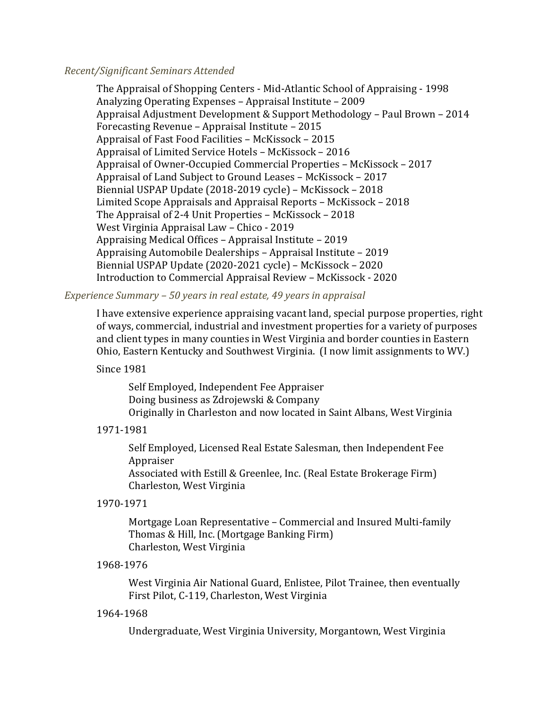### *Recent/Significant Seminars Attended*

The Appraisal of Shopping Centers - Mid-Atlantic School of Appraising - 1998 Analyzing Operating Expenses – Appraisal Institute – 2009 Appraisal Adjustment Development & Support Methodology – Paul Brown – 2014 Forecasting Revenue – Appraisal Institute – 2015 Appraisal of Fast Food Facilities – McKissock – 2015 Appraisal of Limited Service Hotels – McKissock – 2016 Appraisal of Owner-Occupied Commercial Properties – McKissock – 2017 Appraisal of Land Subject to Ground Leases – McKissock – 2017 Biennial USPAP Update (2018-2019 cycle) – McKissock – 2018 Limited Scope Appraisals and Appraisal Reports – McKissock – 2018 The Appraisal of 2-4 Unit Properties – McKissock – 2018 West Virginia Appraisal Law – Chico - 2019 Appraising Medical Offices – Appraisal Institute – 2019 Appraising Automobile Dealerships – Appraisal Institute – 2019 Biennial USPAP Update (2020-2021 cycle) – McKissock – 2020 Introduction to Commercial Appraisal Review – McKissock - 2020

# *Experience Summary – 50 years in real estate, 49 years in appraisal*

I have extensive experience appraising vacant land, special purpose properties, right of ways, commercial, industrial and investment properties for a variety of purposes and client types in many counties in West Virginia and border counties in Eastern Ohio, Eastern Kentucky and Southwest Virginia. (I now limit assignments to WV.)

# Since 1981

Self Employed, Independent Fee Appraiser Doing business as Zdrojewski & Company Originally in Charleston and now located in Saint Albans, West Virginia

#### 1971-1981

 Self Employed, Licensed Real Estate Salesman, then Independent Fee Appraiser Associated with Estill & Greenlee, Inc. (Real Estate Brokerage Firm) Charleston, West Virginia

#### 1970-1971

Mortgage Loan Representative – Commercial and Insured Multi-family Thomas & Hill, Inc. (Mortgage Banking Firm) Charleston, West Virginia

#### 1968-1976

West Virginia Air National Guard, Enlistee, Pilot Trainee, then eventually First Pilot, C-119, Charleston, West Virginia

#### 1964-1968

Undergraduate, West Virginia University, Morgantown, West Virginia